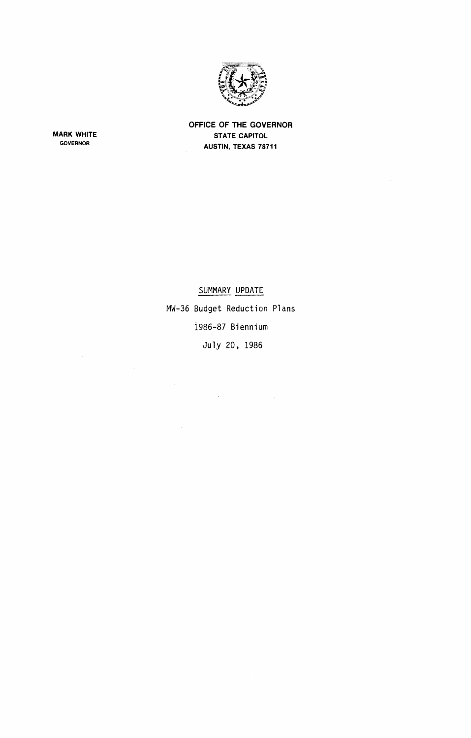

**OFFICE OF THE GOVERNOR STATE CAPITOL AUSTIN. TEXAS 78711**

**MARK WHITE** GOVERNOR

 $\mathcal{A}^{\mathcal{A}}$ 

 $\mathcal{A}^{\mathcal{A}}$ 

## SUMMARY UPDATE MW-36 Budget Reduction Plans 1986-87 Biennium

July 20, 1986

 $\mathcal{L}(\mathcal{A})$  and  $\mathcal{L}(\mathcal{A})$  and  $\mathcal{L}(\mathcal{A})$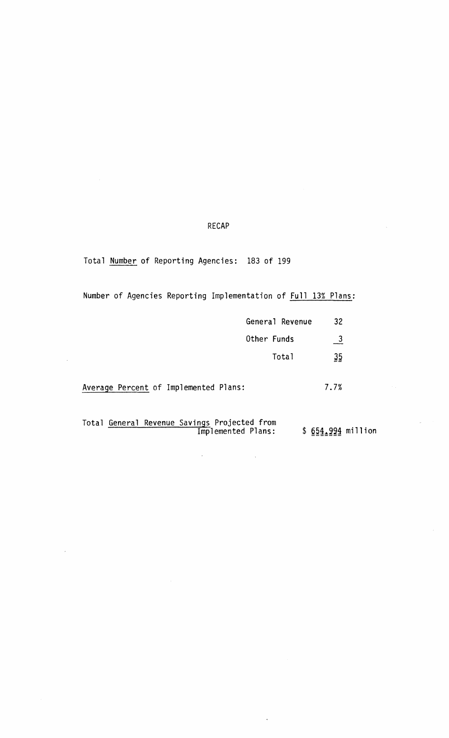## RECAP

Total Number of Reporting Agencies: 183 of 199

 $\overline{\phantom{a}}$ 

Number of Agencies Reporting Implementation of **Full 13% Plans**:

|                                                                    | General Revenue | 32                 |  |
|--------------------------------------------------------------------|-----------------|--------------------|--|
| Other Funds                                                        |                 | 3                  |  |
|                                                                    | Total           | 35                 |  |
| Average Percent of Implemented Plans:                              |                 | 7.7%               |  |
| Total General Revenue Savings Projected from<br>Implemented Plans: |                 | \$ 654.994 million |  |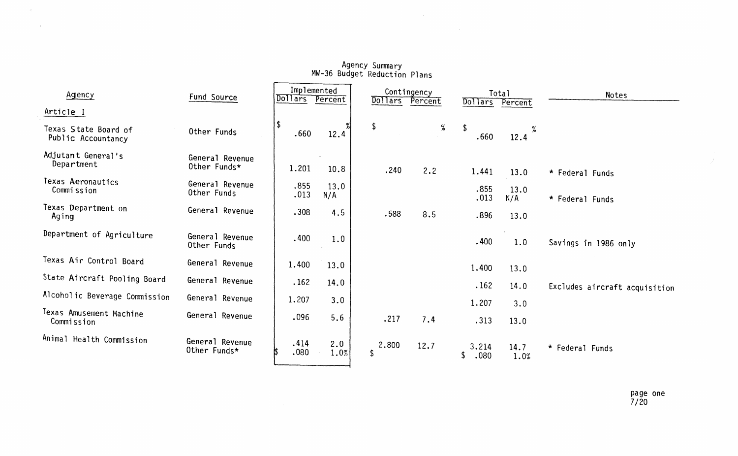| Agency                                     | Fund Source                     | Implemented<br>Dollars<br>Percent |             | <b>Dollars</b> | Contingency<br>Percent | <b>Dollars</b>      | Total<br>Percent | Notes                         |  |
|--------------------------------------------|---------------------------------|-----------------------------------|-------------|----------------|------------------------|---------------------|------------------|-------------------------------|--|
| Article I                                  |                                 |                                   |             |                |                        |                     |                  |                               |  |
| Texas State Board of<br>Public Accountancy | Other Funds                     | $\vert \mathsf{S} \vert$<br>.660  | 12.4        | \$             | %                      | Ŝ<br>.660           | ℅<br>12.4        |                               |  |
| Adjutant General's<br>Department           | General Revenue<br>Other Funds* | 1.201                             | 10.8        | .240           | 2.2                    | 1.441               | 13.0             | * Federal Funds               |  |
| Texas Aeronautics<br>Commission            | General Revenue<br>Other Funds  | .855<br>.013                      | 13.0<br>N/A |                |                        | .855<br>.013        | 13.0<br>N/A      | * Federal Funds               |  |
| Texas Department on<br>Aging               | General Revenue                 | .308                              | 4.5         | .588           | 8.5                    | .896                | 13.0             |                               |  |
| Department of Agriculture                  | General Revenue<br>Other Funds  | .400                              | 1.0         |                |                        | .400                | 1.0              | Savings in 1986 only          |  |
| Texas Air Control Board                    | General Revenue                 | 1.400                             | 13.0        |                |                        | 1.400               | 13.0             |                               |  |
| State Aircraft Pooling Board               | General Revenue                 | .162                              | 14.0        |                |                        | .162                | 14.0             | Excludes aircraft acquisition |  |
| Alcoholic Beverage Commission              | General Revenue                 | 1.207                             | 3.0         |                |                        | 1.207               | 3.0              |                               |  |
| Texas Amusement Machine<br>Commission      | General Revenue                 | .096                              | 5.6         | .217           | 7.4                    | .313                | 13.0             |                               |  |
| Animal Health Commission                   | General Revenue<br>Other Funds* | .414<br>.080                      | 2.0<br>1.0% | 2.800<br>\$    | 12.7                   | 3.214<br>.080<br>\$ | 14.7<br>1.0%     | * Federal Funds               |  |

 $\sim 10^{-10}$ 

## Agency Summary MW-36 Budget Reduction Plans

 $\sim 10^4$  .

 $\mathcal{L}^{\text{max}}_{\text{max}}$ 

 $\mathscr{J}^{\mathbb{R}}$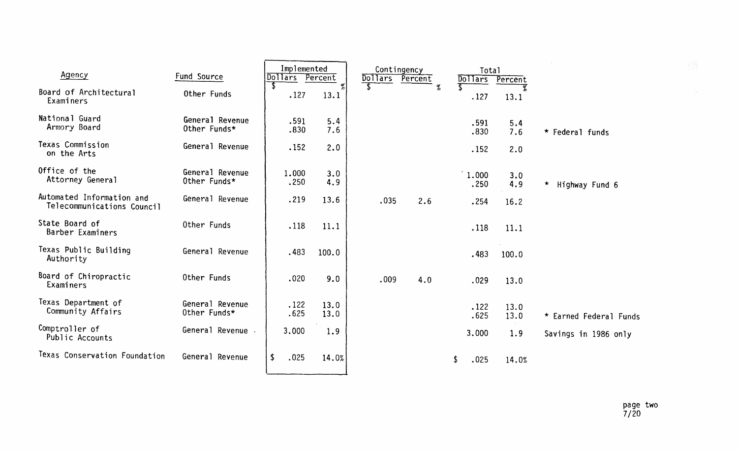| Agency                                                  | Fund Source                     | Implemented<br><b>Dollars</b> | Percent      |      | Contingency<br>Dollars Percent | Total<br>Dollars | Percent      |                           |
|---------------------------------------------------------|---------------------------------|-------------------------------|--------------|------|--------------------------------|------------------|--------------|---------------------------|
| Board of Architectural<br>Examiners                     | Other Funds                     | .127                          | $\%$<br>13.1 |      |                                | $\%$<br>.127     | 13.1         |                           |
| National Guard<br>Armory Board                          | General Revenue<br>Other Funds* | .591<br>.830                  | 5.4<br>7.6   |      |                                | .591<br>.830     | 5.4<br>7.6   | * Federal funds           |
| Texas Commission<br>on the Arts                         | General Revenue                 | .152                          | 2.0          |      |                                | .152             | 2.0          |                           |
| Office of the<br>Attorney General                       | General Revenue<br>Other Funds* | 1.000<br>.250                 | 3.0<br>4.9   |      |                                | 1.000<br>.250    | 3.0<br>4.9   | $\star$<br>Highway Fund 6 |
| Automated Information and<br>Telecommunications Council | General Revenue                 | .219                          | 13.6         | .035 | 2.6                            | .254             | 16.2         |                           |
| State Board of<br>Barber Examiners                      | Other Funds                     | .118                          | 11.1         |      |                                | .118             | 11.1         |                           |
| Texas Public Building<br>Authority                      | General Revenue                 | .483                          | 100.0        |      |                                | .483             | 100.0        |                           |
| Board of Chiropractic<br>Examiners                      | Other Funds                     | .020                          | 9.0          | .009 | 4.0                            | .029             | 13.0         |                           |
| Texas Department of<br>Community Affairs                | General Revenue<br>Other Funds* | .122<br>.625                  | 13.0<br>13.0 |      |                                | .122<br>.625     | 13.0<br>13.0 | * Earned Federal Funds    |
| Comptroller of<br>Public Accounts                       | General Revenue                 | 3.000                         | 1.9          |      |                                | 3.000            | 1.9          | Savings in 1986 only      |
| Texas Conservation Foundation                           | General Revenue                 | \$<br>.025                    | 14.0%        |      |                                | .025             | 14.0%        |                           |

 $\gamma\gamma$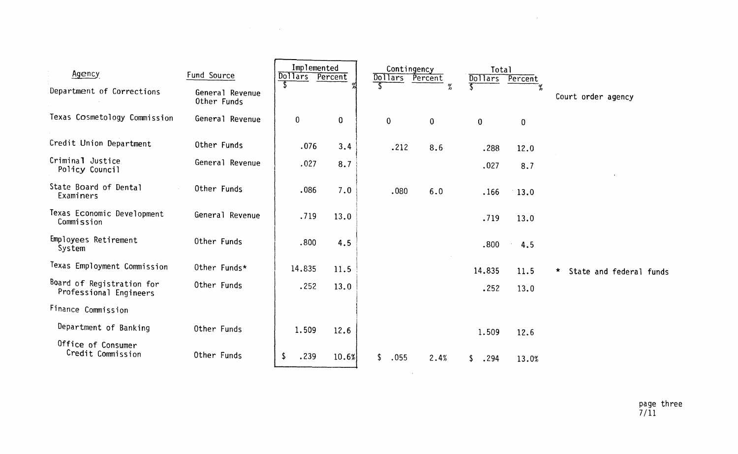| Agency                                              | Fund Source                    | Implemented<br>Dollars Percent |             | Contingency<br>Dollars | Percent        | <b>Total</b><br>Dollars | Percent     |                                    |
|-----------------------------------------------------|--------------------------------|--------------------------------|-------------|------------------------|----------------|-------------------------|-------------|------------------------------------|
| Department of Corrections                           | General Revenue<br>Other Funds |                                |             |                        | $\%$           |                         |             | Court order agency                 |
| Texas Cosmetology Commission                        | General Revenue                | 0                              | $\mathbf 0$ | $\mathbf 0$            | $\overline{0}$ | $\bf{0}$                | $\mathbf 0$ |                                    |
| Credit Union Department                             | Other Funds                    | .076                           | 3.4         | .212                   | 8.6            | .288                    | 12.0        |                                    |
| Criminal Justice<br>Policy Council                  | General Revenue                | .027                           | 8.7         |                        |                | .027                    | 8.7         |                                    |
| State Board of Dental<br>Examiners                  | Other Funds                    | .086                           | 7.0         | .080                   | 6.0            | .166                    | 13.0        |                                    |
| Texas Economic Development<br>Commission            | General Revenue                | .719                           | 13.0        |                        |                | .719                    | 13.0        |                                    |
| Employees Retirement<br>System                      | Other Funds                    | .800                           | 4.5         |                        |                | .800                    | 4.5         |                                    |
| Texas Employment Commission                         | Other Funds*                   | 14.835                         | 11.5        |                        |                | 14.835                  | 11.5        | $\star$<br>State and federal funds |
| Board of Registration for<br>Professional Engineers | Other Funds                    | .252                           | 13.0        |                        |                | .252                    | 13.0        |                                    |
| Finance Commission                                  |                                |                                |             |                        |                |                         |             |                                    |
| Department of Banking                               | Other Funds                    | 1.509                          | 12.6        |                        |                | 1.509                   | 12.6        |                                    |
| Office of Consumer<br>Credit Commission             | Other Funds                    | \$<br>.239                     | 10.6%       | \$<br>.055             | 2.4%           | \$<br>.294              | 13.0%       |                                    |
|                                                     |                                |                                |             |                        |                |                         |             |                                    |

 $\label{eq:2.1} \mathcal{L}(\mathcal{L}^{\mathcal{L}}_{\mathcal{L}}(\mathcal{L}^{\mathcal{L}}_{\mathcal{L}})) = \mathcal{L}(\mathcal{L}^{\mathcal{L}}_{\mathcal{L}}(\mathcal{L}^{\mathcal{L}}_{\mathcal{L}})) = \mathcal{L}(\mathcal{L}^{\mathcal{L}}_{\mathcal{L}}(\mathcal{L}^{\mathcal{L}}_{\mathcal{L}})) = \mathcal{L}(\mathcal{L}^{\mathcal{L}}_{\mathcal{L}}(\mathcal{L}^{\mathcal{L}}_{\mathcal{L}}))$ 

 $\mathcal{O}(\mathcal{O}(\log n))$  .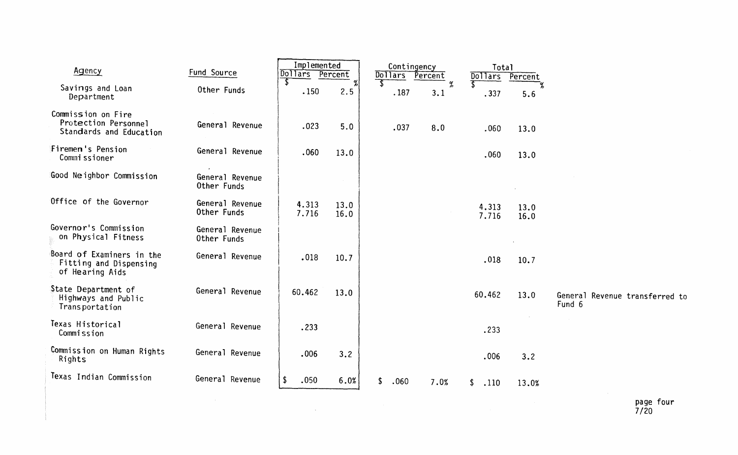| Agency                                                                 | Fund Source                    | Implemented<br><b>Dollars</b> | Percent      | Dollars Percent                  | Contingency | Total<br><b>Dollars</b> | Percent      |        |                                |
|------------------------------------------------------------------------|--------------------------------|-------------------------------|--------------|----------------------------------|-------------|-------------------------|--------------|--------|--------------------------------|
| Savings and Loan<br>Department                                         | Other Funds                    | $\sqrt{2}$<br>.150            | 2.5          | $\overline{\mathcal{E}}$<br>.187 | $\%$<br>3.1 | .337                    | 5.6          |        |                                |
| Commission on Fire<br>Protection Personnel<br>Standards and Education  | General Revenue                | .023                          | 5.0          | .037                             | 8.0         | .060                    | 13.0         |        |                                |
| <b>Firemen's Pension</b><br>Commissioner                               | General Revenue                | .060                          | 13.0         |                                  |             | .060                    | 13.0         |        |                                |
| Good Neighbor Commission                                               | General Revenue<br>Other Funds |                               |              |                                  |             |                         |              |        |                                |
| Office of the Governor                                                 | General Revenue<br>Other Funds | 4.313<br>7.716                | 13.0<br>16.0 |                                  |             | 4.313<br>7.716          | 13.0<br>16.0 |        |                                |
| Governor's Commission<br>on Physical Fitness                           | General Revenue<br>Other Funds |                               |              |                                  |             |                         |              |        |                                |
| Board of Examiners in the<br>Fitting and Dispensing<br>of Hearing Aids | General Revenue                | .018                          | 10.7         |                                  |             | .018                    | 10.7         |        |                                |
| State Department of<br>Highways and Public<br>Transportation           | General Revenue                | 60.462                        | 13.0         |                                  |             | 60.462                  | 13.0         | Fund 6 | General Revenue transferred to |
| Texas Historical<br>Commission                                         | General Revenue                | .233                          |              |                                  |             | .233                    |              |        |                                |
| Commission on Human Rights<br>Rights                                   | General Revenue                | .006                          | 3.2          |                                  |             | .006                    | 3.2          |        |                                |
| Texas Indian Commission                                                | General Revenue                | \$<br>.050                    | 6.0%         | \$<br>.060                       | 7.0%        | \$<br>.110              | 13.0%        |        |                                |
|                                                                        |                                |                               |              |                                  |             |                         |              |        | page four<br>7/20              |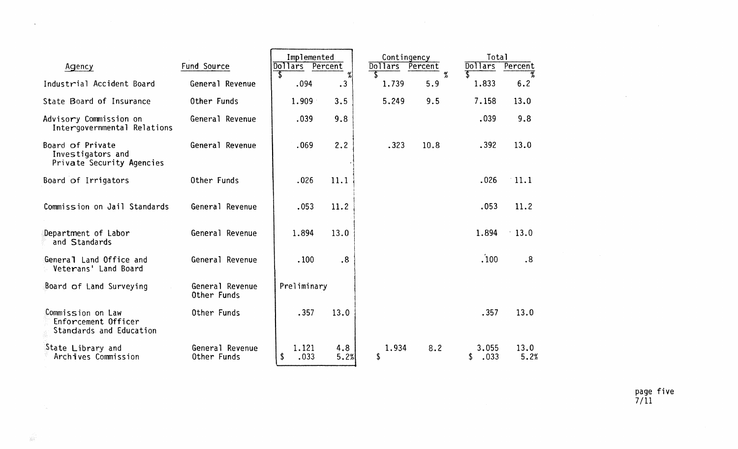|                                                                     |                                | Implemented           |             | Contingency  |                 | Total               |              |
|---------------------------------------------------------------------|--------------------------------|-----------------------|-------------|--------------|-----------------|---------------------|--------------|
| Agency                                                              | Fund Source                    | Dollars Percent<br>-S | $\%$        | Dollars<br>S | Percent<br>$\%$ | Dollars<br>T        | Percent      |
| Industrial Accident Board                                           | General Revenue                | .094                  | .3          | 1.739        | 5.9             | 1.833               | 6.2          |
| State Board of Insurance                                            | Other Funds                    | 1.909                 | 3.5         | 5.249        | 9.5             | 7.158               | 13.0         |
| Advisory Commission on<br>Intergovernmental Relations               | General Revenue                | .039                  | 9.8         |              |                 | .039                | 9.8          |
| Board of Private<br>Investigators and<br>Private Security Agencies  | General Revenue                | .069                  | 2.2         | .323         | 10.8            | .392                | 13.0         |
| Board of Irrigators                                                 | Other Funds                    | .026                  | 11.1        |              |                 | .026                | $-11.1$      |
| Commission on Jail Standards                                        | General Revenue                | .053                  | 11.2        |              |                 | .053                | 11.2         |
| Department of Labor<br>and Standards                                | General Revenue                | 1.894                 | 13.0        |              |                 | 1.894               | $\cdot$ 13.0 |
| General Land Office and<br>Veterans' Land Board                     | General Revenue                | .100                  | .8          |              |                 | .100                | .8           |
| Board of Land Surveying                                             | General Revenue<br>Other Funds | Preliminary           |             |              |                 |                     |              |
| Commission on Law<br>Enforcement Officer<br>Standards and Education | Other Funds                    | .357                  | 13.0        |              |                 | .357                | 13.0         |
| State Library and<br>Archives Commission                            | General Revenue<br>Other Funds | 1.121<br>.033<br>\$   | 4.8<br>5.2% | 1.934<br>\$  | 8.2             | 3.055<br>.033<br>\$ | 13.0<br>5.2% |

page five 7/11

 $\sim 400$ 

 $\sim 100$ 

 $\sim$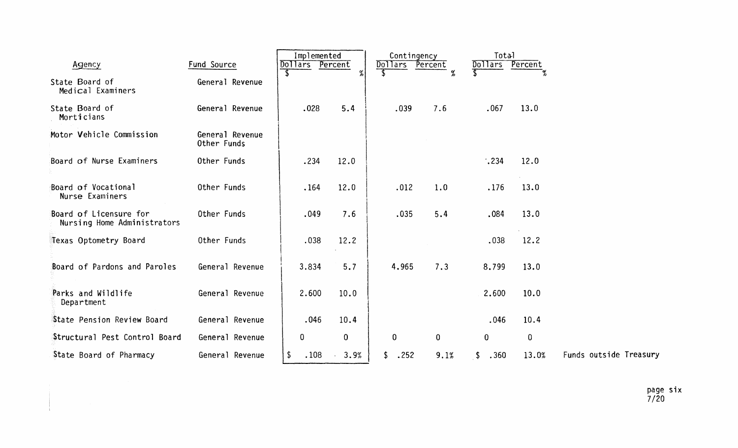| Agency                                                | Fund Source                    | Implemented<br>Dollars | Percent     | Contingency<br>Dollars Percent |             | Total<br>Dollars | Percent     |                        |
|-------------------------------------------------------|--------------------------------|------------------------|-------------|--------------------------------|-------------|------------------|-------------|------------------------|
| State Board of<br>Medical Examiners                   | General Revenue                |                        | $\gamma$    |                                | $\%$        |                  |             |                        |
| State Board of<br>Morticians                          | General Revenue                | .028                   | 5.4         | .039                           | 7.6         | .067             | 13.0        |                        |
| Motor Vehicle Commission                              | General Revenue<br>Other Funds |                        |             |                                |             |                  |             |                        |
| Board of Nurse Examiners                              | Other Funds                    | .234                   | 12.0        |                                |             | $\cdot$ .234     | 12.0        |                        |
| Board of Vocational<br>Nurse Examiners                | Other Funds                    | .164                   | 12.0        | .012                           | 1.0         | .176             | 13.0        |                        |
| Board of Licensure for<br>Nursing Home Administrators | Other Funds                    | .049                   | 7.6         | .035                           | 5.4         | .084             | 13.0        |                        |
| Texas Optometry Board                                 | Other Funds                    | .038                   | 12.2        |                                |             | .038             | 12.2        |                        |
| Board of Pardons and Paroles                          | General Revenue                | 3.834                  | 5.7         | 4.965                          | 7.3         | 8.799            | 13.0        |                        |
| Parks and Wildlife<br>Department                      | General Revenue                | 2.600                  | 10.0        |                                |             | 2.600            | 10.0        |                        |
| State Pension Review Board                            | General Revenue                | .046                   | 10.4        |                                |             | .046             | 10.4        |                        |
| Structural Pest Control Board                         | General Revenue                | 0                      | $\mathbf 0$ | $\mathbf 0$                    | $\mathbf 0$ | 0                | $\mathbf 0$ |                        |
| State Board of Pharmacy                               | General Revenue                | \$<br>.108             | 3.9%        | .252                           | 9.1%        | .360<br>\$       | 13.0%       | Funds outside Treasury |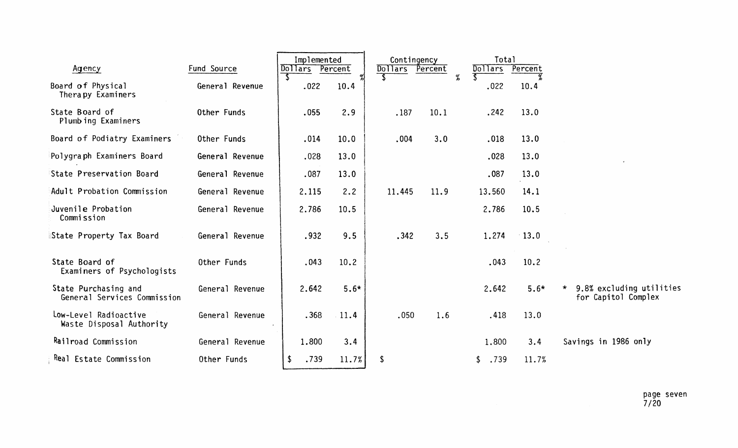| Agency                                              | Fund Source     | Implemented<br><b>Dollars</b> | Percent | Contingency<br><b>Dollars</b> | Percent | Total<br><b>Dollars</b> | Percent |                                                 |
|-----------------------------------------------------|-----------------|-------------------------------|---------|-------------------------------|---------|-------------------------|---------|-------------------------------------------------|
| Board of Physical<br>Therapy Examiners              | General Revenue | .022                          | 10.4    |                               | %       | .022                    | 10.4    |                                                 |
| State Board of<br>Plumbing Examiners                | Other Funds     | .055                          | 2.9     | .187                          | 10.1    | .242                    | 13.0    |                                                 |
| Board of Podiatry Examiners                         | Other Funds     | .014                          | 10.0    | .004                          | 3.0     | .018                    | 13.0    |                                                 |
| Polygraph Examiners Board                           | General Revenue | .028                          | 13.0    |                               |         | .028                    | 13.0    |                                                 |
| State Preservation Board                            | General Revenue | .087                          | 13.0    |                               |         | .087                    | 13.0    |                                                 |
| Adult Probation Commission                          | General Revenue | 2.115                         | 2.2     | 11.445                        | 11.9    | 13.560                  | 14.1    |                                                 |
| Juvenile Probation<br>Commission                    | General Revenue | 2.786                         | 10.5    |                               |         | 2.786                   | 10.5    |                                                 |
| State Property Tax Board                            | General Revenue | .932                          | 9.5     | .342                          | 3.5     | 1.274                   | $-13.0$ |                                                 |
| State Board of<br>Examiners of Psychologists        | Other Funds     | .043                          | 10.2    |                               |         | .043                    | 10.2    |                                                 |
| State Purchasing and<br>General Services Commission | General Revenue | 2.642                         | $5.6*$  |                               |         | 2.642                   | $5.6*$  | 9.8% excluding utilities<br>for Capitol Complex |
| Low-Level Radioactive<br>Waste Disposal Authority   | General Revenue | .368                          | $-11.4$ | .050                          | 1.6     | .418                    | 13.0    |                                                 |
| Railroad Commission                                 | General Revenue | 1.800                         | 3.4     |                               |         | 1,800                   | 3.4     | Savings in 1986 only                            |
| Real Estate Commission                              | Other Funds     | $\sqrt[4]{2}$<br>.739         | 11.7%   | \$                            |         | .739                    | 11.7%   |                                                 |

page seven<br>7/20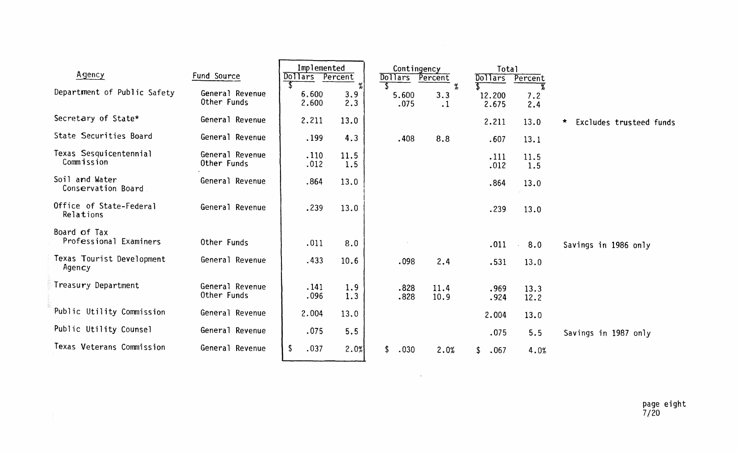| Agency                                 | Fund Source                    | Implemented<br><b>Dollars</b> | Percent         | Dollars | Contingency   | Percent                  | <b>Total</b><br><b>Dollars</b> | Percent      |                              |
|----------------------------------------|--------------------------------|-------------------------------|-----------------|---------|---------------|--------------------------|--------------------------------|--------------|------------------------------|
| Department of Public Safety            | General Revenue<br>Other Funds | 6.600<br>2.600                | %<br>3.9<br>2.3 |         | 5.600<br>.075 | $\%$<br>3.3<br>$\cdot$ 1 | 12.200<br>2.675                | 7.2<br>2.4   |                              |
| Secretary of State*                    | General Revenue                | 2.211                         | 13.0            |         |               |                          | 2.211                          | 13.0         | *<br>Excludes trusteed funds |
| State Securities Board                 | General Revenue                | .199                          | 4.3             |         | .408          | 8.8                      | .607                           | 13.1         |                              |
| Texas Sesquicentennial<br>Commission   | General Revenue<br>Other Funds | .110<br>.012                  | 11.5<br>1.5     |         |               |                          | .111<br>.012                   | 11.5<br>1.5  |                              |
| Soil and Water<br>Conservation Board   | General Revenue                | .864                          | 13.0            |         |               |                          | .864                           | 13.0         |                              |
| Office of State-Federal<br>Relations   | General Revenue                | .239                          | 13.0            |         |               |                          | .239                           | 13.0         |                              |
| Board of Tax<br>Professional Examiners | Other Funds                    | .011                          | 8.0             |         |               |                          | .011                           | 8.0          | Savings in 1986 only         |
| Texas Tourist Development<br>Agency    | General Revenue                | .433                          | 10.6            |         | .098          | 2.4                      | .531                           | 13.0         |                              |
| Treasury Department                    | General Revenue<br>Other Funds | .141<br>.096                  | 1.9<br>1.3      |         | .828<br>.828  | 11.4<br>10.9             | .969<br>.924                   | 13.3<br>12.2 |                              |
| Public Utility Commission              | General Revenue                | 2.004                         | 13.0            |         |               |                          | 2.004                          | 13.0         |                              |
| Public Utility Counsel                 | General Revenue                | .075                          | 5.5             |         |               |                          | .075                           | 5.5          | Savings in 1987 only         |
| Texas Veterans Commission              | General Revenue                | $\mathsf{\$}$<br>.037         | 2.0%            | \$      | .030          | 2.0%                     | .067<br>\$                     | 4.0%         |                              |

 $\mathcal{L}^{\mathcal{L}}(\mathcal{L}^{\mathcal{L}}(\mathcal{L}^{\mathcal{L}}(\mathcal{L}^{\mathcal{L}}(\mathcal{L}^{\mathcal{L}}(\mathcal{L}^{\mathcal{L}}(\mathcal{L}^{\mathcal{L}}(\mathcal{L}^{\mathcal{L}}(\mathcal{L}^{\mathcal{L}}(\mathcal{L}^{\mathcal{L}}(\mathcal{L}^{\mathcal{L}}(\mathcal{L}^{\mathcal{L}}(\mathcal{L}^{\mathcal{L}}(\mathcal{L}^{\mathcal{L}}(\mathcal{L}^{\mathcal{L}}(\mathcal{L}^{\mathcal{L}}(\mathcal{L}^{\mathcal{L$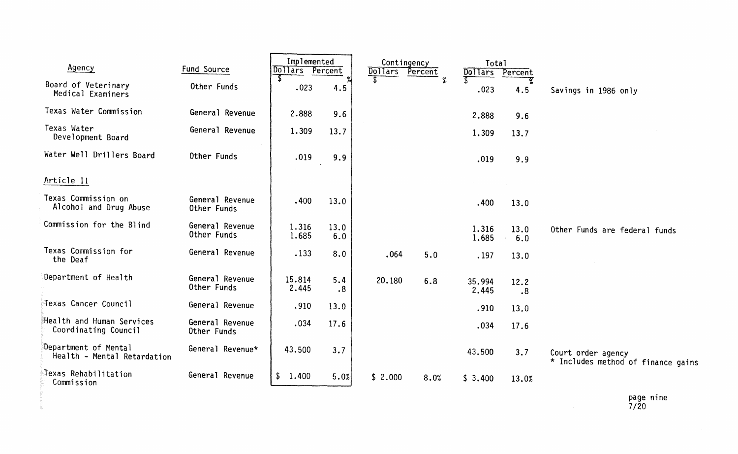| Agency                                              | Fund Source                    | Implemented<br>Dollars | Percent     | Contingency<br><b>Dollars</b> | Percent | Total<br>Dollars | Percent       |                                                          |
|-----------------------------------------------------|--------------------------------|------------------------|-------------|-------------------------------|---------|------------------|---------------|----------------------------------------------------------|
| Board of Veterinary<br>Medical Examiners            | Other Funds                    | .023                   | 4.5         |                               | $\%$    | .023             | o<br>6<br>4.5 | Savings in 1986 only                                     |
| Texas Water Commission                              | General Revenue                | 2.888                  | 9.6         |                               |         | 2.888            | 9.6           |                                                          |
| Texas Water<br>Development Board                    | General Revenue                | 1.309                  | 13.7        |                               |         | 1.309            | 13.7          |                                                          |
| Water Well Drillers Board                           | Other Funds                    | .019                   | 9.9         |                               |         | .019             | 9.9           |                                                          |
| Article II                                          |                                |                        |             |                               |         |                  |               |                                                          |
| Texas Commission on<br>Alcohol and Drug Abuse       | General Revenue<br>Other Funds | .400                   | 13.0        |                               |         | .400             | 13.0          |                                                          |
| Commission for the Blind                            | General Revenue<br>Other Funds | 1.316<br>1.685         | 13.0<br>6.0 |                               |         | 1.316<br>1.685   | 13.0<br>6.0   | Other Funds are federal funds                            |
| Texas Commission for<br>the Deaf                    | General Revenue                | .133                   | 8.0         | .064                          | 5.0     | .197             | 13.0          |                                                          |
| Department of Health                                | General Revenue<br>Other Funds | 15.814<br>2.445        | 5.4<br>.8   | 20.180                        | 6.8     | 35.994<br>2.445  | 12.2<br>.8    |                                                          |
| Texas Cancer Council                                | General Revenue                | .910                   | 13.0        |                               |         | .910             | 13.0          |                                                          |
| Health and Human Services<br>Coordinating Council   | General Revenue<br>Other Funds | .034                   | 17.6        |                               |         | .034             | 17.6          |                                                          |
| Department of Mental<br>Health - Mental Retardation | General Revenue*               | 43.500                 | 3.7         |                               |         | 43.500           | 3.7           | Court order agency<br>* Includes method of finance gains |
| Texas Rehabilitation<br>Commission                  | General Revenue                | \$1.400                | 5.0%        | \$2.000                       | 8.0%    | \$3.400          | 13.0%         |                                                          |
|                                                     |                                |                        |             |                               |         |                  |               | page nine                                                |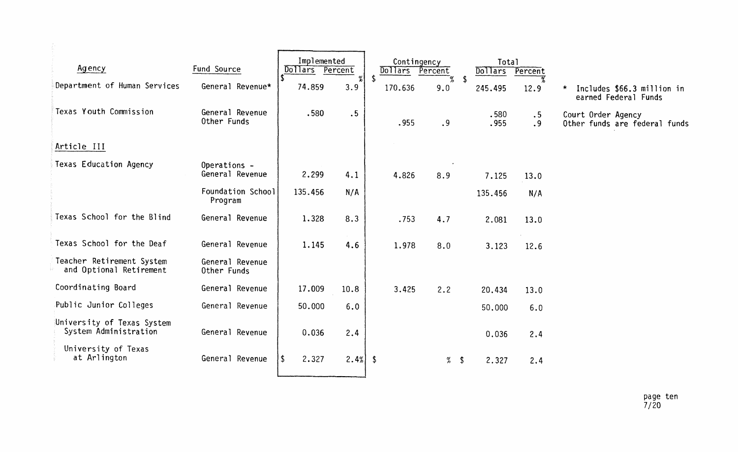| Agency                                               | Fund Source                     | Implemented<br>Dollars | Percent  | Dollars       | Contingency<br>Percent |                         | Total<br><b>Dollars</b> | Percent         |                                                               |
|------------------------------------------------------|---------------------------------|------------------------|----------|---------------|------------------------|-------------------------|-------------------------|-----------------|---------------------------------------------------------------|
| Department of Human Services                         | General Revenue*                | 74.859                 | %<br>3.9 | \$<br>170.636 | 9.0                    | -\$                     | 245.495                 | 7,<br>12.9      | Includes \$66.3 million in<br>$\star$<br>earned Federal Funds |
| Texas Youth Commission                               | General Revenue<br>Other Funds  | .580                   | .5       | .955          | .9                     |                         | .580<br>.955            | $\cdot$ 5<br>.9 | Court Order Agency<br>Other funds are federal funds           |
| Article III                                          |                                 |                        |          |               |                        |                         |                         |                 |                                                               |
| <b>Texas Education Agency</b>                        | Operations -<br>General Revenue | 2.299                  | 4.1      | 4.826         | 8.9                    |                         | 7.125                   | 13.0            |                                                               |
|                                                      | Foundation School<br>Program    | 135.456                | N/A      |               |                        |                         | 135.456                 | N/A             |                                                               |
| Texas School for the Blind                           | General Revenue                 | 1.328                  | 8.3      | .753          | 4.7                    |                         | 2.081                   | 13.0            |                                                               |
| Texas School for the Deaf                            | General Revenue                 | 1.145                  | 4.6      | 1.978         | 8.0                    |                         | 3.123                   | 12.6            |                                                               |
| Teacher Retirement System<br>and Optional Retirement | General Revenue<br>Other Funds  |                        |          |               |                        |                         |                         |                 |                                                               |
| Coordinating Board                                   | General Revenue                 | 17.009                 | 10.8     | 3.425         | 2.2                    |                         | 20.434                  | 13.0            |                                                               |
| Public Junior Colleges                               | General Revenue                 | 50.000                 | 6.0      |               |                        |                         | 50.000                  | 6.0             |                                                               |
| University of Texas System<br>System Administration  | General Revenue                 | 0.036                  | 2.4      |               |                        |                         | 0.036                   | 2.4             |                                                               |
| University of Texas<br>at Arlington                  | General Revenue                 | $\sqrt{2}$<br>2.327    | 2.4%     | \$            | %                      | $\sqrt[6]{\frac{1}{2}}$ | 2.327                   | 2.4             |                                                               |
|                                                      |                                 |                        |          |               |                        |                         |                         |                 |                                                               |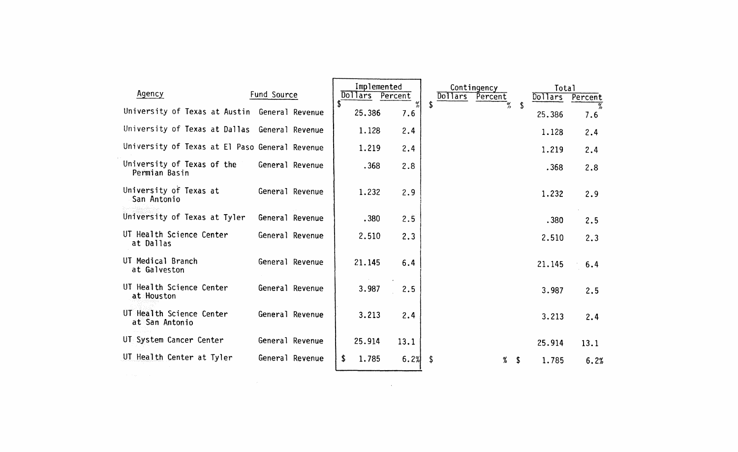| Agency                                         | Fund Source     | Implemented<br>Dollars Percent |                        | Contingency<br>Dollars<br>Percent |    | Total<br>Dollars | Percent |
|------------------------------------------------|-----------------|--------------------------------|------------------------|-----------------------------------|----|------------------|---------|
| University of Texas at Austin General Revenue  |                 | $\mathbf{S}$<br>25.386         | $% \frac{1}{2}$<br>7.6 | Ŝ                                 | -S | 25.386           | 7.6     |
| University of Texas at Dallas General Revenue  |                 | 1.128                          | 2.4                    |                                   |    | 1.128            | 2.4     |
| University of Texas at El Paso General Revenue |                 | 1.219                          | 2.4                    |                                   |    | 1.219            | 2.4     |
| University of Texas of the<br>Permian Basin    | General Revenue | .368                           | 2.8                    |                                   |    | .368             | 2.8     |
| University of Texas at<br>San Antonio          | General Revenue | 1.232                          | 2.9                    |                                   |    | 1.232            | 2.9     |
| University of Texas at Tyler                   | General Revenue | .380                           | 2.5                    |                                   |    | .380             | 2.5     |
| UT Health Science Center<br>at Dallas          | General Revenue | 2.510                          | 2.3                    |                                   |    | 2.510            | 2.3     |
| UT Medical Branch<br>at Galveston              | General Revenue | 21.145                         | 6.4                    |                                   |    | 21.145           | 6.4     |
| UT Health Science Center<br>at Houston         | General Revenue | 3.987                          | 2.5                    |                                   |    | 3.987            | 2.5     |
| UT Health Science Center<br>at San Antonio     | General Revenue | 3.213                          | 2.4                    |                                   |    | 3.213            | 2.4     |
| UT System Cancer Center                        | General Revenue | 25.914                         | 13.1                   |                                   |    | 25.914           | 13.1    |
| UT Health Center at Tyler                      | General Revenue | 1.785<br>S.                    | 6.2%                   | -\$<br>$%$ \$                     |    | 1.785            | 6.2%    |
| and the same                                   |                 |                                |                        |                                   |    |                  |         |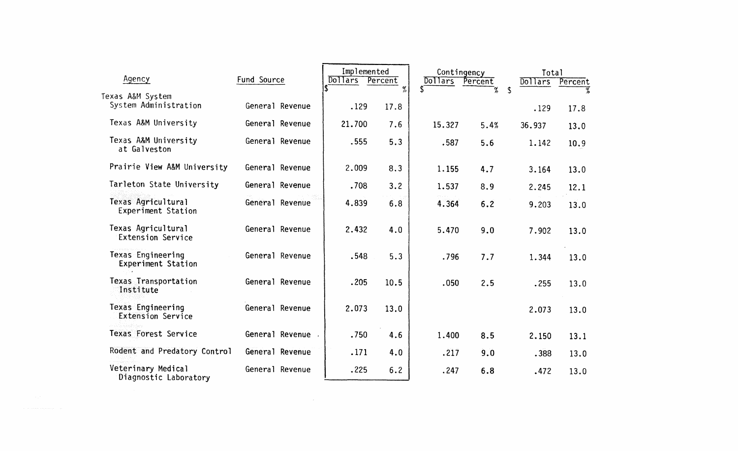| Agency                                               | Fund Source       | Implemented<br>Dollars | Percent   | Contingency<br>Dollars | Percent | Total<br>Dollars           | Percent |
|------------------------------------------------------|-------------------|------------------------|-----------|------------------------|---------|----------------------------|---------|
| Texas A&M System<br>System Administration            | General Revenue   | .129                   | %<br>17.8 | $\mathbf{S}$           | X       | $\mathbf{\hat{S}}$<br>.129 | 17.8    |
| Texas A&M University                                 | General Revenue   | 21.700                 | 7.6       | 15.327                 | 5.4%    | 36.937                     | 13.0    |
| Texas A&M University<br>at Galveston                 | General Revenue   | .555                   | 5.3       | .587                   | 5.6     | 1.142                      | 10.9    |
| Prairie View A&M University                          | General Revenue   | 2.009                  | 8.3       | 1.155                  | 4.7     | 3.164                      | 13.0    |
| Tarleton State University                            | General Revenue   | .708                   | 3.2       | 1.537                  | 8.9     | 2.245                      | 12.1    |
| Texas Agricultural<br>Experiment Station             | General Revenue   | 4.839                  | 6.8       | 4.364                  | 6.2     | 9.203                      | 13.0    |
| Texas Agricultural<br><b>Extension Service</b>       | General Revenue   | 2.432                  | 4.0       | 5.470                  | 9.0     | 7.902                      | 13.0    |
| <b>Texas Engineering</b><br>Experiment Station       | General Revenue   | .548                   | 5.3       | .796                   | 7.7     | 1.344                      | 13.0    |
| Texas Transportation<br>Institute                    | General Revenue   | .205                   | 10.5      | .050                   | 2.5     | .255                       | 13.0    |
| <b>Texas Engineering</b><br><b>Extension Service</b> | General Revenue   | 2.073                  | 13.0      |                        |         | 2.073                      | 13.0    |
| Texas Forest Service                                 | General Revenue . | .750                   | 4.6       | 1,400                  | 8.5     | 2.150                      | 13.1    |
| Rodent and Predatory Control                         | General Revenue   | .171                   | 4.0       | .217                   | 9.0     | .388                       | 13.0    |
| Veterinary Medical<br>Diagnostic Laboratory          | General Revenue   | .225                   | 6.2       | .247                   | 6.8     | .472                       | 13.0    |
|                                                      |                   |                        |           |                        |         |                            |         |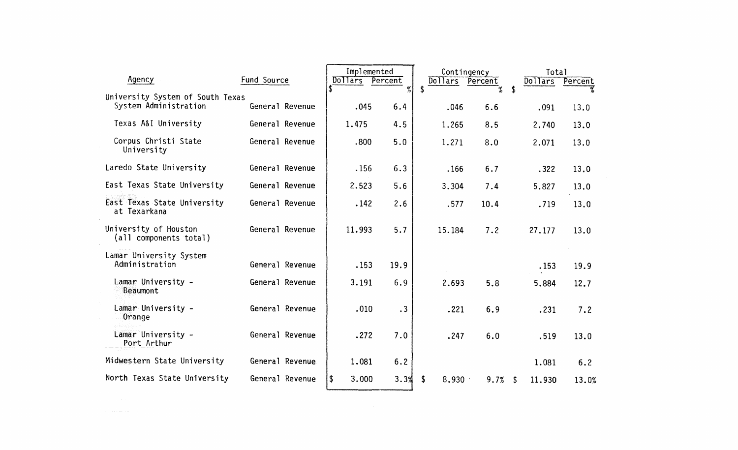|                                                           |                 |                 | Implemented |                 | Contingency | Total          |         |
|-----------------------------------------------------------|-----------------|-----------------|-------------|-----------------|-------------|----------------|---------|
| Agency                                                    | Fund Source     | Dollars Percent |             | Dollars Percent |             | <b>Dollars</b> | Percent |
| University System of South Texas<br>System Administration | General Revenue | .045            | $\%$<br>6.4 | .046            | ัช<br>6.6   | \$<br>.091     | 13.0    |
| Texas A&I University                                      | General Revenue | 1.475           | 4.5         | 1.265           | 8.5         | 2,740          | 13.0    |
| Corpus Christi State<br>University                        | General Revenue | .800            | 5.0         | 1.271           | 8.0         | 2.071          | 13.0    |
| Laredo State University                                   | General Revenue | .156            | 6.3         | .166            | 6.7         | .322           | 13.0    |
| East Texas State University                               | General Revenue | 2.523           | 5.6         | 3.304           | 7.4         | 5.827          | 13.0    |
| East Texas State University<br>at Texarkana               | General Revenue | .142            | 2.6         | .577            | 10.4        | .719           | 13.0    |
| University of Houston<br>(all components total)           | General Revenue | 11.993          | 5.7         | 15.184          | 7.2         | 27.177         | 13.0    |
| Lamar University System<br>Administration                 | General Revenue | .153            | 19.9        |                 |             | .153           | 19.9    |
| Lamar University -<br>Beaumont                            | General Revenue | 3.191           | 6.9         | 2.693           | 5.8         | 5.884          | 12.7    |
| Lamar University -<br>Orange                              | General Revenue | .010            | $\cdot$ 3   | .221            | 6.9         | .231           | 7.2     |
| Lamar University -<br>Port Arthur                         | General Revenue | .272            | 7.0         | .247            | 6.0         | .519           | 13.0    |
| Midwestern State University                               | General Revenue | 1.081           | 6.2         |                 |             | 1.081          | 6.2     |
| North Texas State University                              | General Revenue | 3.000<br> \$    | 3.3%        | \$<br>8.930     | 9.7%        | 11.930<br>S    | 13.0%   |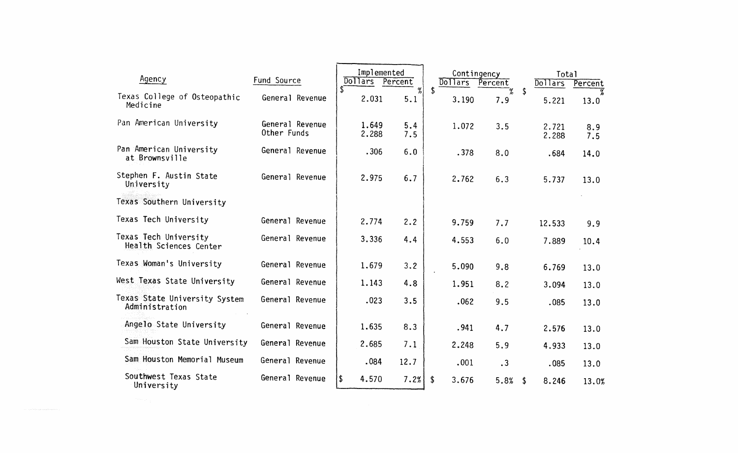| Agency                                          | Fund Source                    | Implemented<br>Dollars Percent |            | <b>Dollars</b> | Contingency<br>Percent |      | Total<br>Dollars | Percent    |
|-------------------------------------------------|--------------------------------|--------------------------------|------------|----------------|------------------------|------|------------------|------------|
| Texas College of Osteopathic<br>Medicine        | General Revenue                | 2.031                          | %<br>5.1   | \$<br>3.190    | 7.9                    | \$   | 5.221            | 13.0       |
| Pan American University                         | General Revenue<br>Other Funds | 1.649<br>2.288                 | 5.4<br>7.5 | 1.072          | 3.5                    |      | 2.721<br>2.288   | 8.9<br>7.5 |
| Pan American University<br>at Brownsville       | General Revenue                | .306                           | 6.0        | .378           | 8.0                    |      | .684             | 14.0       |
| Stephen F. Austin State<br>University           | General Revenue                | 2.975                          | 6.7        | 2.762          | 6.3                    |      | 5.737            | 13.0       |
| Texas Southern University                       |                                |                                |            |                |                        |      |                  |            |
| Texas Tech University                           | General Revenue                | 2.774                          | 2.2        | 9.759          | 7.7                    |      | 12.533           | 9.9        |
| Texas Tech University<br>Health Sciences Center | General Revenue                | 3.336                          | 4.4        | 4.553          | 6.0                    |      | 7.889            | 10.4       |
| Texas Woman's University                        | General Revenue                | 1.679                          | 3.2        | 5.090          | 9.8                    |      | 6.769            | 13.0       |
| West Texas State University                     | General Revenue                | 1.143                          | 4.8        | 1.951          | 8.2                    |      | 3.094            | 13.0       |
| Texas State University System<br>Administration | General Revenue                | .023                           | 3.5        | .062           | 9.5                    |      | .085             | 13.0       |
| Angelo State University                         | General Revenue                | 1.635                          | 8.3        | .941           | 4.7                    |      | 2.576            | 13.0       |
| Sam Houston State University                    | General Revenue                | 2.685                          | 7.1        | 2.248          | 5.9                    |      | 4.933            | 13.0       |
| Sam Houston Memorial Museum                     | General Revenue                | .084                           | 12.7       | .001           | $\cdot$ 3              |      | .085             | 13.0       |
| Southwest Texas State<br>University             | General Revenue                | \$<br>4.570                    | 7.2%       | \$<br>3.676    | 5.8%                   | - \$ | 8.246            | 13.0%      |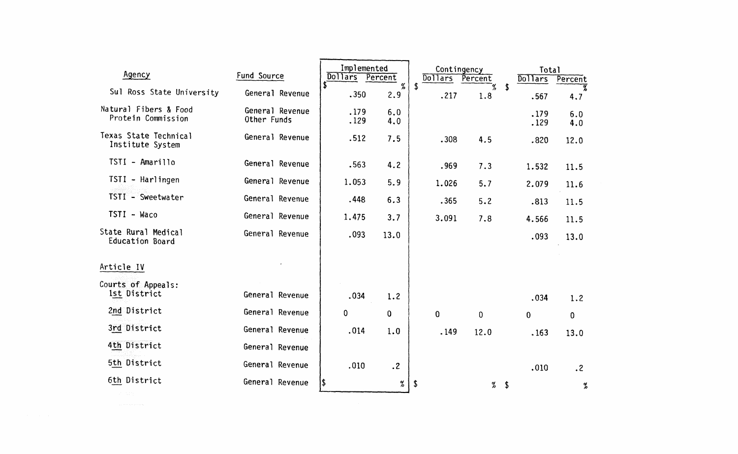| Dollars<br>%<br>\$<br>\$<br>Sul Ross State University<br>General Revenue<br>.350<br>2.9<br>.217<br>1.8<br>.567<br>Natural Fibers & Food<br>General Revenue<br>.179<br>6.0<br>.179<br>Protein Commission<br>Other Funds<br>.129<br>4.0<br>.129<br>Texas State Technical<br>General Revenue<br>.512<br>7.5<br>.308<br>4.5<br>.820<br>Institute System<br>TSTI - Amarillo<br>General Revenue<br>.563<br>4.2<br>.969<br>7.3<br>1.532<br>$TSTI - Harlingen$<br>General Revenue<br>1.053<br>5.9<br>1.026<br>5.7<br>2.079<br>TSTI - Sweetwater<br>General Revenue<br>.448<br>6.3<br>.365<br>5.2<br>.813<br>TSTI - Waco<br>General Revenue<br>1.475<br>3.7<br>3.091<br>7.8<br>4.566<br>State Rural Medical<br>General Revenue<br>.093<br>13.0<br>.093<br>Education Board<br>Article IV | Percent<br>T<br>4.7<br>6.0<br>4.0<br>12.0<br>11.5<br>11.6 |
|--------------------------------------------------------------------------------------------------------------------------------------------------------------------------------------------------------------------------------------------------------------------------------------------------------------------------------------------------------------------------------------------------------------------------------------------------------------------------------------------------------------------------------------------------------------------------------------------------------------------------------------------------------------------------------------------------------------------------------------------------------------------------------|-----------------------------------------------------------|
|                                                                                                                                                                                                                                                                                                                                                                                                                                                                                                                                                                                                                                                                                                                                                                                |                                                           |
|                                                                                                                                                                                                                                                                                                                                                                                                                                                                                                                                                                                                                                                                                                                                                                                |                                                           |
|                                                                                                                                                                                                                                                                                                                                                                                                                                                                                                                                                                                                                                                                                                                                                                                |                                                           |
|                                                                                                                                                                                                                                                                                                                                                                                                                                                                                                                                                                                                                                                                                                                                                                                |                                                           |
|                                                                                                                                                                                                                                                                                                                                                                                                                                                                                                                                                                                                                                                                                                                                                                                |                                                           |
|                                                                                                                                                                                                                                                                                                                                                                                                                                                                                                                                                                                                                                                                                                                                                                                | 11.5                                                      |
|                                                                                                                                                                                                                                                                                                                                                                                                                                                                                                                                                                                                                                                                                                                                                                                | 11.5                                                      |
|                                                                                                                                                                                                                                                                                                                                                                                                                                                                                                                                                                                                                                                                                                                                                                                | 13.0                                                      |
|                                                                                                                                                                                                                                                                                                                                                                                                                                                                                                                                                                                                                                                                                                                                                                                |                                                           |
| Courts of Appeals:<br>1st District<br>General Revenue<br>.034<br>1.2<br>.034                                                                                                                                                                                                                                                                                                                                                                                                                                                                                                                                                                                                                                                                                                   | 1.2                                                       |
| 2nd District<br>General Revenue<br>$\mathbf{0}$<br>$\mathbf{0}$<br>0<br>$\mathbf 0$<br>$\boldsymbol{0}$<br>0                                                                                                                                                                                                                                                                                                                                                                                                                                                                                                                                                                                                                                                                   |                                                           |
| 3rd District<br>General Revenue<br>.014<br>1.0<br>.149<br>12.0<br>.163                                                                                                                                                                                                                                                                                                                                                                                                                                                                                                                                                                                                                                                                                                         | 13.0                                                      |
| 4th District<br>General Revenue                                                                                                                                                                                                                                                                                                                                                                                                                                                                                                                                                                                                                                                                                                                                                |                                                           |
| 5th District<br>General Revenue<br>.010<br>.2<br>.010                                                                                                                                                                                                                                                                                                                                                                                                                                                                                                                                                                                                                                                                                                                          | $\cdot$ 2                                                 |
| 6th District<br>General Revenue<br>I\$<br>%<br>\$<br>%<br>\$                                                                                                                                                                                                                                                                                                                                                                                                                                                                                                                                                                                                                                                                                                                   | %                                                         |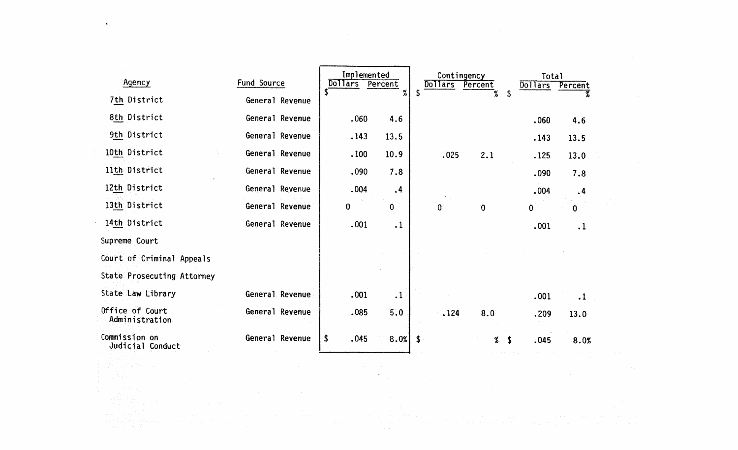| Agency                            | Fund Source     | Implemented<br>Dollars<br>Percent<br>S.<br>% | Contingency<br><b>Dollars</b><br>Percent | Total<br>Dollars<br>Percent  |
|-----------------------------------|-----------------|----------------------------------------------|------------------------------------------|------------------------------|
| 7th District                      | General Revenue |                                              | %<br>\$<br>-5                            |                              |
| 8th District                      | General Revenue | .060<br>4.6                                  |                                          | .060<br>4.6                  |
| 9th District                      | General Revenue | .143<br>13.5                                 |                                          | .143<br>13.5                 |
| 10th District                     | General Revenue | 10.9<br>.100                                 | .025<br>2.1                              | 13.0<br>.125                 |
| 11th District                     | General Revenue | .090<br>7.8                                  |                                          | .090<br>7.8                  |
| 12th District                     | General Revenue | .004<br>$\cdot$ <sup>4</sup>                 |                                          | .004<br>$\cdot$ <sup>4</sup> |
| 13th District                     | General Revenue | $\mathbf 0$<br>$\mathbf 0$                   | 0<br>$\bf{0}$                            | $\mathbf{0}$<br>$\mathbf 0$  |
| 14th District                     | General Revenue | .001<br>$\cdot$ 1                            |                                          | .001<br>$\cdot$ 1            |
| Supreme Court                     |                 |                                              |                                          |                              |
| Court of Criminal Appeals         |                 |                                              |                                          |                              |
| <b>State Prosecuting Attorney</b> |                 |                                              |                                          |                              |
| State Law Library                 | General Revenue | .001<br>$\cdot$ 1                            |                                          | .001<br>$\cdot$ 1            |
| Office of Court<br>Administration | General Revenue | 5.0<br>.085                                  | .124<br>8.0                              | .209<br>13.0                 |
| Commission on<br>Judicial Conduct | General Revenue | .045<br>8.0%<br>\$                           | $\boldsymbol{\mathsf{s}}$<br>%<br>-S     | .045<br>8.0%                 |

 $\mathcal{A}_{\mathcal{O}}$ 

 $\mathbf{u}$  .